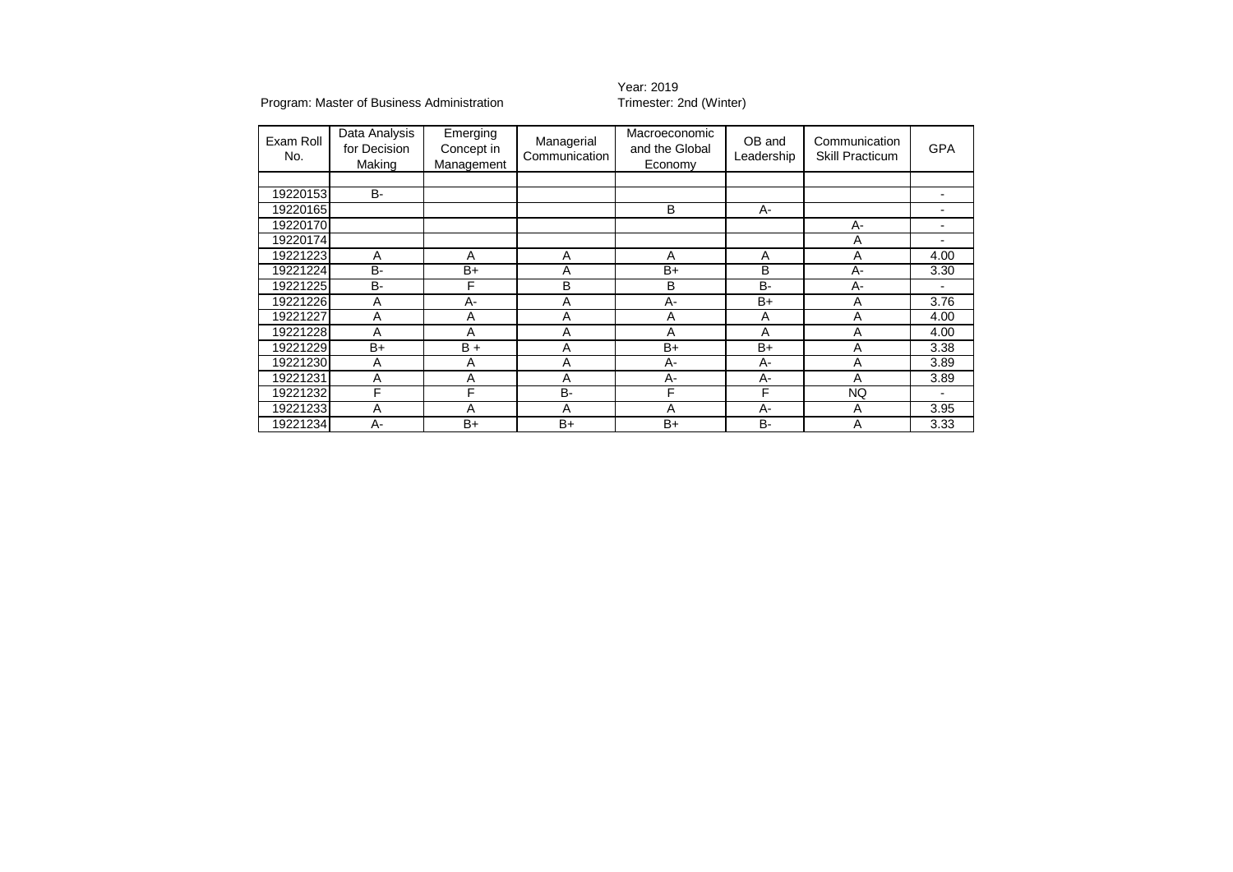#### Program: Master of Business Administration

### Year: 2019<br>Trimester: 2nd (Winter)

| Exam Roll<br>No. | Data Analysis<br>for Decision<br>Making | Emerging<br>Concept in<br>Management | Managerial<br>Communication | Macroeconomic<br>and the Global<br>Economy | OB and<br>Leadership | Communication<br><b>Skill Practicum</b> | <b>GPA</b> |
|------------------|-----------------------------------------|--------------------------------------|-----------------------------|--------------------------------------------|----------------------|-----------------------------------------|------------|
|                  |                                         |                                      |                             |                                            |                      |                                         |            |
| 19220153         | <b>B-</b>                               |                                      |                             |                                            |                      |                                         |            |
| 19220165         |                                         |                                      |                             | B                                          |                      |                                         |            |
| 19220170         |                                         |                                      |                             |                                            |                      | $A -$                                   |            |
| 19220174         |                                         |                                      |                             |                                            |                      | Α                                       |            |
| 19221223         | A                                       | A                                    | A                           | Α                                          | A                    | A                                       | 4.00       |
| 19221224         | <b>B-</b>                               | $B+$                                 | A                           | $B+$                                       | B                    | A-                                      | 3.30       |
| 19221225         | <b>B-</b>                               | F                                    | B                           | B                                          | <b>B-</b>            | $A -$                                   |            |
| 19221226         | Α                                       | A-                                   | A                           | $A -$                                      | $B+$                 | Α                                       | 3.76       |
| 19221227         | Α                                       | Α                                    | A                           | Α                                          | A                    | A                                       | 4.00       |
| 19221228         | A                                       | Α                                    | A                           | Α                                          | A                    | А                                       | 4.00       |
| 19221229         | $B+$                                    | $B +$                                | A                           | $B+$                                       | $B+$                 | Α                                       | 3.38       |
| 19221230         | Α                                       | A                                    | A                           | $A -$                                      | A-                   | Α                                       | 3.89       |
| 19221231         | A                                       | A                                    | A                           | $A -$                                      | A-                   | Α                                       | 3.89       |
| 19221232         | F                                       | F                                    | <b>B-</b>                   | F                                          | F                    | <b>NQ</b>                               |            |
| 19221233         | A                                       | Α                                    | Α                           | Α                                          | А-                   | Α                                       | 3.95       |
| 19221234         | A-                                      | $B+$                                 | $B+$                        | $B+$                                       | <b>B-</b>            | Α                                       | 3.33       |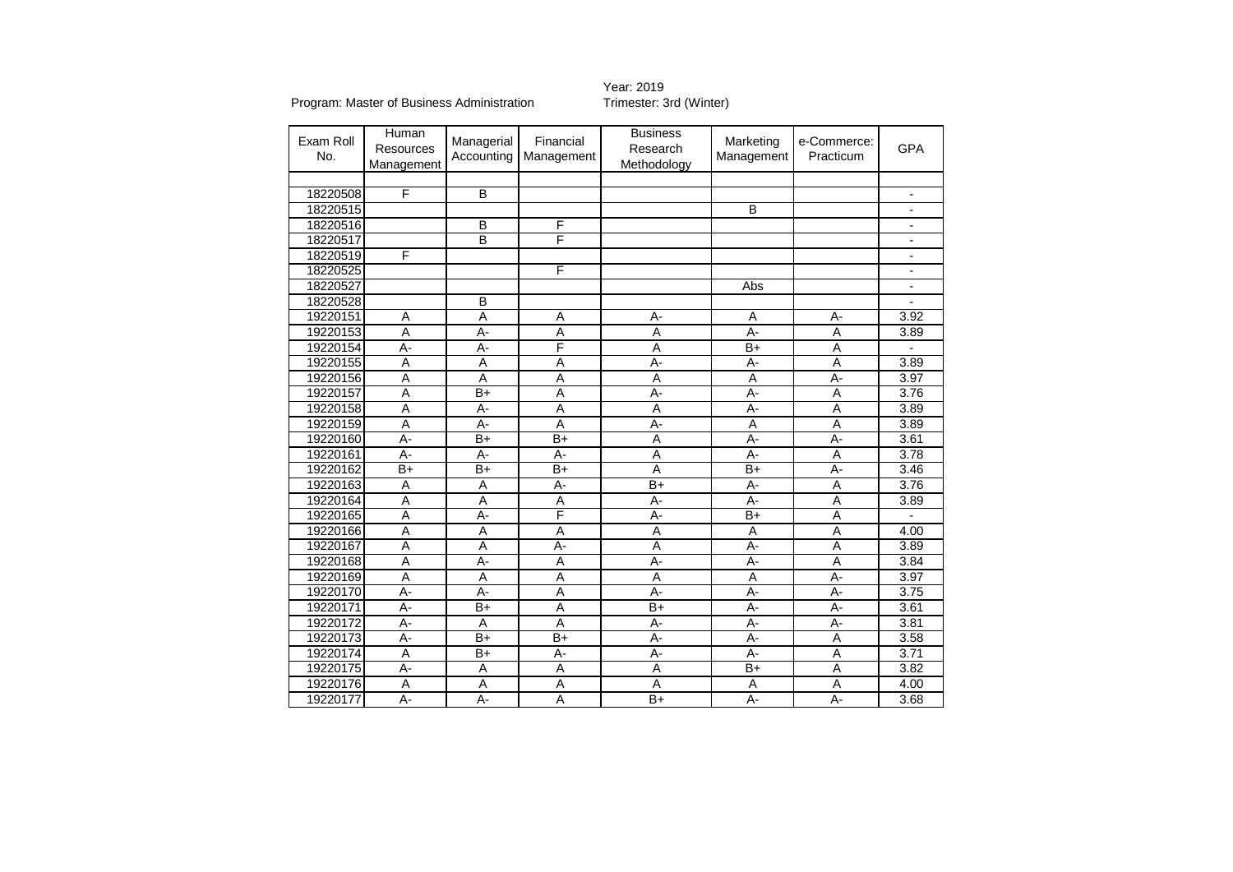Program: Master of Business Administration

# Year: 2019<br>Trimester: 3rd (Winter)

| Exam Roll<br>No. | Human<br>Resources<br>Management | Managerial<br>Accounting | Financial<br>Management | <b>Business</b><br>Research<br>Methodology | Marketing<br>Management | e-Commerce:<br>Practicum | <b>GPA</b> |
|------------------|----------------------------------|--------------------------|-------------------------|--------------------------------------------|-------------------------|--------------------------|------------|
|                  |                                  |                          |                         |                                            |                         |                          |            |
| 18220508         | F                                | $\overline{B}$           |                         |                                            |                         |                          |            |
| 18220515         |                                  |                          |                         |                                            | $\overline{B}$          |                          |            |
| 18220516         |                                  | B                        | F                       |                                            |                         |                          |            |
| 18220517         |                                  | B                        | F                       |                                            |                         |                          |            |
| 18220519         | F                                |                          |                         |                                            |                         |                          |            |
| 18220525         |                                  |                          | F                       |                                            |                         |                          |            |
| 18220527         |                                  |                          |                         |                                            | Abs                     |                          |            |
| 18220528         |                                  | B                        |                         |                                            |                         |                          |            |
| 19220151         | $\overline{A}$                   | A                        | A                       | A-                                         | A<br>А-                 |                          | 3.92       |
| 19220153         | A                                | A-                       | A                       | A                                          | $A -$                   | A                        | 3.89       |
| 19220154         | $\overline{A}$ -                 | $A -$                    | F                       | A                                          | $\overline{B+}$         | A                        |            |
| 19220155         | $\overline{A}$                   | A                        | A                       | $A -$                                      | A-                      | $\overline{\mathsf{A}}$  | 3.89       |
| 19220156         | $\overline{A}$                   | $\overline{A}$           | A                       | A                                          | A                       | A-                       | 3.97       |
| 19220157         | Ā                                | $\overline{B}$           | $\overline{A}$          | $\overline{A}$ -                           | $A -$                   | A                        | 3.76       |
| 19220158         | $\overline{A}$                   | A-                       | A                       | A                                          | $A -$                   | A                        | 3.89       |
| 19220159         | $\overline{A}$                   | A-                       | A                       | A-                                         | A                       | A                        | 3.89       |
| 19220160         | A-                               | $B+$                     | $B+$                    | A                                          | A-                      | A-                       | 3.61       |
| 19220161         | $A -$                            | A-                       | $A -$                   | A                                          | $A -$                   | A                        | 3.78       |
| 19220162         | $B+$                             | $B+$                     | $B+$                    | $\overline{A}$                             | $B+$<br>A-              |                          | 3.46       |
| 19220163         | A                                | A                        | A-                      | $B+$                                       | A-<br>A                 |                          | 3.76       |
| 19220164         | A                                | A                        | Α                       | A-                                         | А-<br>A                 |                          | 3.89       |
| 19220165         | A                                | А-                       | F                       | A-                                         | $B+$                    | A                        |            |
| 19220166         | $\overline{A}$                   | A                        | A                       | A                                          | A                       | A                        | 4.00       |
| 19220167         | A                                | A                        | A-                      | A                                          | A-                      | A                        | 3.89       |
| 19220168         | A                                | A-                       | A                       | A-                                         | A-                      | A                        | 3.84       |
| 19220169         | A                                | A                        | A                       | A                                          | A                       | A-                       | 3.97       |
| 19220170         | A-                               | А-                       | A                       | $A -$                                      | $A -$                   | A-                       | 3.75       |
| 19220171         | $A -$                            | $B+$                     | $\overline{A}$          | $B+$                                       | $A -$                   | A-                       | 3.61       |
| 19220172         | $\overline{A}$ -                 | A                        | A                       | A-                                         | A-                      | A-                       | 3.81       |
| 19220173         | $A -$                            | $\overline{B+}$          | $\overline{B+}$         | $A -$                                      | $A -$                   | A                        | 3.58       |
| 19220174         | A                                | $\overline{B+}$          | A-                      | A-                                         | A-                      | Α                        | 3.71       |
| 19220175         | A-                               | A                        | A                       | A                                          | $B+$                    | A                        | 3.82       |
| 19220176         | A                                | A                        | A                       | A                                          | A                       | Α                        | 4.00       |
| 19220177         | $\overline{A}$ -                 | $\overline{A}$ -         | $\overline{A}$          | $\overline{B+}$                            | $\overline{A}$ -        | $\overline{A}$ -         | 3.68       |